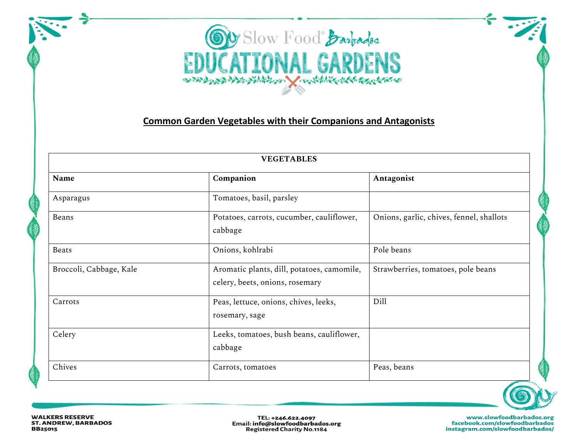

## **Common Garden Vegetables with their Companions and Antagonists**

| <b>VEGETABLES</b>       |                                                                               |                                          |  |
|-------------------------|-------------------------------------------------------------------------------|------------------------------------------|--|
| Name                    | Companion                                                                     | Antagonist                               |  |
| Asparagus               | Tomatoes, basil, parsley                                                      |                                          |  |
| Beans                   | Potatoes, carrots, cucumber, cauliflower,<br>cabbage                          | Onions, garlic, chives, fennel, shallots |  |
| <b>Beats</b>            | Onions, kohlrabi                                                              | Pole beans                               |  |
| Broccoli, Cabbage, Kale | Aromatic plants, dill, potatoes, camomile,<br>celery, beets, onions, rosemary | Strawberries, tomatoes, pole beans       |  |
| Carrots                 | Peas, lettuce, onions, chives, leeks,<br>rosemary, sage                       | Dill                                     |  |
| Celery                  | Leeks, tomatoes, bush beans, cauliflower,<br>cabbage                          |                                          |  |
| Chives                  | Carrots, tomatoes                                                             | Peas, beans                              |  |



TEL: +246.622.4097 Email: info@slowfoodbarbados.org **Registered Charity No.1184**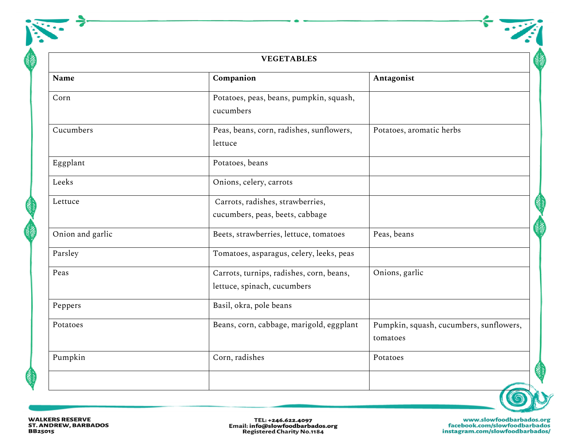| <b>VEGETABLES</b> |                                                                         |                                                     |
|-------------------|-------------------------------------------------------------------------|-----------------------------------------------------|
| <b>Name</b>       | Companion                                                               | Antagonist                                          |
| Corn              | Potatoes, peas, beans, pumpkin, squash,<br>cucumbers                    |                                                     |
| Cucumbers         | Peas, beans, corn, radishes, sunflowers,<br>lettuce                     | Potatoes, aromatic herbs                            |
| Eggplant          | Potatoes, beans                                                         |                                                     |
| Leeks             | Onions, celery, carrots                                                 |                                                     |
| Lettuce           | Carrots, radishes, strawberries,<br>cucumbers, peas, beets, cabbage     |                                                     |
| Onion and garlic  | Beets, strawberries, lettuce, tomatoes                                  | Peas, beans                                         |
| Parsley           | Tomatoes, asparagus, celery, leeks, peas                                |                                                     |
| Peas              | Carrots, turnips, radishes, corn, beans,<br>lettuce, spinach, cucumbers | Onions, garlic                                      |
| Peppers           | Basil, okra, pole beans                                                 |                                                     |
| Potatoes          | Beans, corn, cabbage, marigold, eggplant                                | Pumpkin, squash, cucumbers, sunflowers,<br>tomatoes |
| Pumpkin           | Corn, radishes                                                          | Potatoes                                            |



WALKERS RESERVE<br>ST. ANDREW, BARBADOS **BB25015** 

TEL: +246.622.4097<br>Email: info@slowfoodbarbados.org<br>Registered Charity No.1184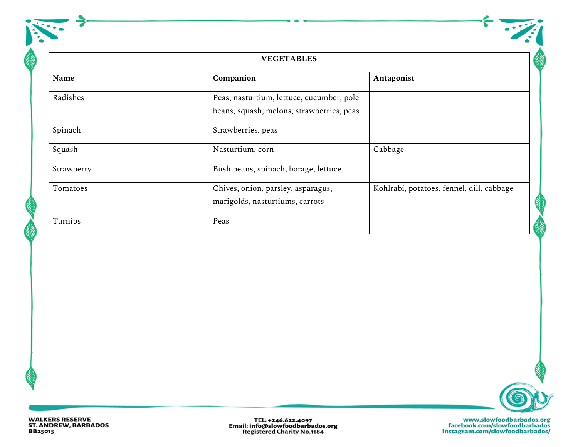| <b>VEGETABLES</b> |                                                                                        |                                           |  |
|-------------------|----------------------------------------------------------------------------------------|-------------------------------------------|--|
| Name              | Companion                                                                              | Antagonist                                |  |
| Radishes          | Peas, nasturtium, lettuce, cucumber, pole<br>beans, squash, melons, strawberries, peas |                                           |  |
| Spinach           | Strawberries, peas                                                                     |                                           |  |
| Squash            | Nasturtium, corn                                                                       | Cabbage                                   |  |
| Strawberry        | Bush beans, spinach, borage, lettuce                                                   |                                           |  |
| Tomatoes          | Chives, onion, parsley, asparagus,<br>marigolds, nasturtiums, carrots                  | Kohlrabi, potatoes, fennel, dill, cabbage |  |
| Turnips           | Peas                                                                                   |                                           |  |



 $\frac{1}{2}$ 

TEL: +246.622.4097<br>Email: info@slowfoodbarbados.org<br>Registered Charity No.1184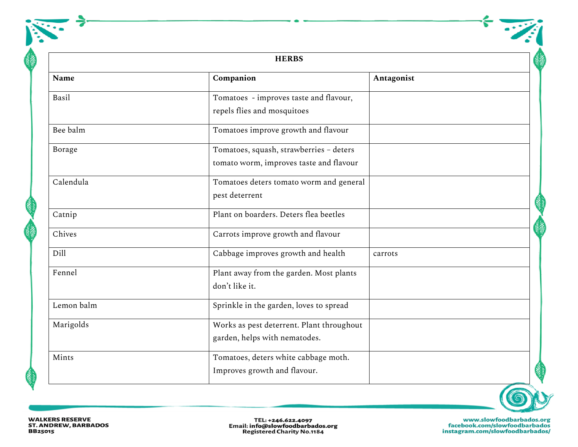|               | <b>HERBS</b>                                                                       |            |  |
|---------------|------------------------------------------------------------------------------------|------------|--|
| Name          | Companion                                                                          | Antagonist |  |
| Basil         | Tomatoes - improves taste and flavour,<br>repels flies and mosquitoes              |            |  |
| Bee balm      | Tomatoes improve growth and flavour                                                |            |  |
| <b>Borage</b> | Tomatoes, squash, strawberries - deters<br>tomato worm, improves taste and flavour |            |  |
| Calendula     | Tomatoes deters tomato worm and general<br>pest deterrent                          |            |  |
| Catnip        | Plant on boarders. Deters flea beetles                                             |            |  |
| Chives        | Carrots improve growth and flavour                                                 |            |  |
| Dill          | Cabbage improves growth and health                                                 | carrots    |  |
| Fennel        | Plant away from the garden. Most plants<br>don't like it.                          |            |  |
| Lemon balm    | Sprinkle in the garden, loves to spread                                            |            |  |
| Marigolds     | Works as pest deterrent. Plant throughout<br>garden, helps with nematodes.         |            |  |
| Mints         | Tomatoes, deters white cabbage moth.<br>Improves growth and flavour.               |            |  |



WALKERS RESERVE<br>ST. ANDREW, BARBADOS **BB25015** 

TEL: +246.622.4097<br>Email: info@slowfoodbarbados.org<br>Registered Charity No.1184